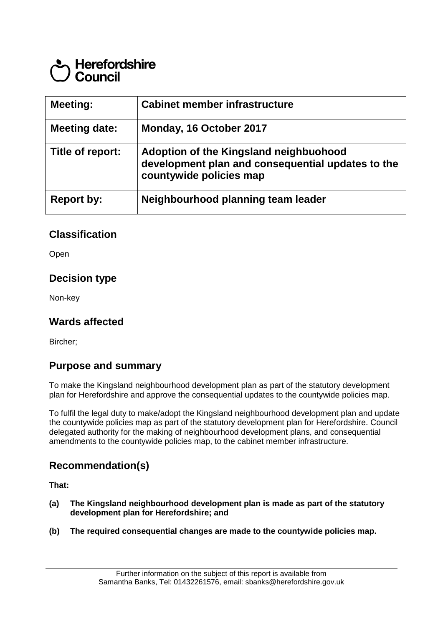# **Herefordshire** Council

| <b>Meeting:</b>      | <b>Cabinet member infrastructure</b>                                                                                   |
|----------------------|------------------------------------------------------------------------------------------------------------------------|
| <b>Meeting date:</b> | Monday, 16 October 2017                                                                                                |
| Title of report:     | Adoption of the Kingsland neighbuohood<br>development plan and consequential updates to the<br>countywide policies map |
| <b>Report by:</b>    | Neighbourhood planning team leader                                                                                     |

### **Classification**

Open

#### **Decision type**

Non-key

### **Wards affected**

Bircher;

#### **Purpose and summary**

To make the Kingsland neighbourhood development plan as part of the statutory development plan for Herefordshire and approve the consequential updates to the countywide policies map.

To fulfil the legal duty to make/adopt the Kingsland neighbourhood development plan and update the countywide policies map as part of the statutory development plan for Herefordshire. Council delegated authority for the making of neighbourhood development plans, and consequential amendments to the countywide policies map, to the cabinet member infrastructure.

### **Recommendation(s)**

**That:**

- **(a) The Kingsland neighbourhood development plan is made as part of the statutory development plan for Herefordshire; and**
- **(b) The required consequential changes are made to the countywide policies map.**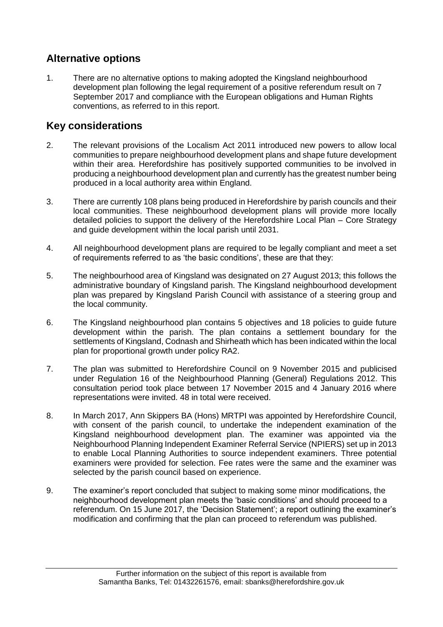## **Alternative options**

1. There are no alternative options to making adopted the Kingsland neighbourhood development plan following the legal requirement of a positive referendum result on 7 September 2017 and compliance with the European obligations and Human Rights conventions, as referred to in this report.

## **Key considerations**

- 2. The relevant provisions of the Localism Act 2011 introduced new powers to allow local communities to prepare neighbourhood development plans and shape future development within their area. Herefordshire has positively supported communities to be involved in producing a neighbourhood development plan and currently has the greatest number being produced in a local authority area within England.
- 3. There are currently 108 plans being produced in Herefordshire by parish councils and their local communities. These neighbourhood development plans will provide more locally detailed policies to support the delivery of the Herefordshire Local Plan – Core Strategy and guide development within the local parish until 2031.
- 4. All neighbourhood development plans are required to be legally compliant and meet a set of requirements referred to as 'the basic conditions', these are that they:
- 5. The neighbourhood area of Kingsland was designated on 27 August 2013; this follows the administrative boundary of Kingsland parish. The Kingsland neighbourhood development plan was prepared by Kingsland Parish Council with assistance of a steering group and the local community.
- 6. The Kingsland neighbourhood plan contains 5 objectives and 18 policies to guide future development within the parish. The plan contains a settlement boundary for the settlements of Kingsland, Codnash and Shirheath which has been indicated within the local plan for proportional growth under policy RA2.
- 7. The plan was submitted to Herefordshire Council on 9 November 2015 and publicised under Regulation 16 of the Neighbourhood Planning (General) Regulations 2012. This consultation period took place between 17 November 2015 and 4 January 2016 where representations were invited. 48 in total were received.
- 8. In March 2017, Ann Skippers BA (Hons) MRTPI was appointed by Herefordshire Council, with consent of the parish council, to undertake the independent examination of the Kingsland neighbourhood development plan. The examiner was appointed via the Neighbourhood Planning Independent Examiner Referral Service (NPIERS) set up in 2013 to enable Local Planning Authorities to source independent examiners. Three potential examiners were provided for selection. Fee rates were the same and the examiner was selected by the parish council based on experience.
- 9. The examiner's report concluded that subject to making some minor modifications, the neighbourhood development plan meets the 'basic conditions' and should proceed to a referendum. On 15 June 2017, the 'Decision Statement'; a report outlining the examiner's modification and confirming that the plan can proceed to referendum was published.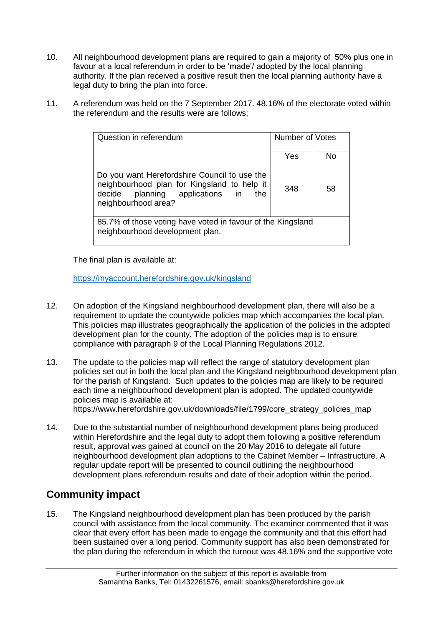- 10. All neighbourhood development plans are required to gain a majority of 50% plus one in favour at a local referendum in order to be 'made'/ adopted by the local planning authority. If the plan received a positive result then the local planning authority have a legal duty to bring the plan into force.
- 11. A referendum was held on the 7 September 2017. 48.16% of the electorate voted within the referendum and the results were are follows;

| Question in referendum                                                                                                                                       | Number of Votes |    |
|--------------------------------------------------------------------------------------------------------------------------------------------------------------|-----------------|----|
|                                                                                                                                                              | Yes             | No |
| Do you want Herefordshire Council to use the<br>neighbourhood plan for Kingsland to help it<br>decide planning applications in<br>the<br>neighbourhood area? | 348             | 58 |
| 85.7% of those voting have voted in favour of the Kingsland<br>neighbourhood development plan.                                                               |                 |    |

The final plan is available at:

<https://myaccount.herefordshire.gov.uk/kingsland>

- 12. On adoption of the Kingsland neighbourhood development plan, there will also be a requirement to update the countywide policies map which accompanies the local plan. This policies map illustrates geographically the application of the policies in the adopted development plan for the county. The adoption of the policies map is to ensure compliance with paragraph 9 of the Local Planning Regulations 2012.
- 13. The update to the policies map will reflect the range of statutory development plan policies set out in both the local plan and the Kingsland neighbourhood development plan for the parish of Kingsland. Such updates to the policies map are likely to be required each time a neighbourhood development plan is adopted. The updated countywide policies map is available at: https://www.herefordshire.gov.uk/downloads/file/1799/core\_strategy\_policies\_map
- 14. Due to the substantial number of neighbourhood development plans being produced within Herefordshire and the legal duty to adopt them following a positive referendum result, approval was gained at council on the 20 May 2016 to delegate all future neighbourhood development plan adoptions to the Cabinet Member – Infrastructure. A regular update report will be presented to council outlining the neighbourhood development plans referendum results and date of their adoption within the period.

## **Community impact**

15. The Kingsland neighbourhood development plan has been produced by the parish council with assistance from the local community. The examiner commented that it was clear that every effort has been made to engage the community and that this effort had been sustained over a long period. Community support has also been demonstrated for the plan during the referendum in which the turnout was 48.16% and the supportive vote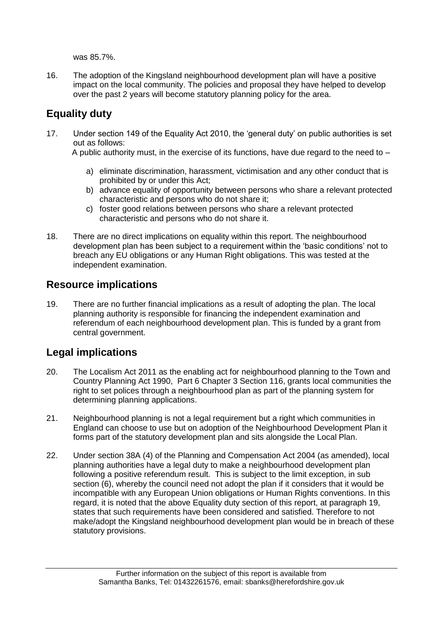was 85.7%.

16. The adoption of the Kingsland neighbourhood development plan will have a positive impact on the local community. The policies and proposal they have helped to develop over the past 2 years will become statutory planning policy for the area.

## **Equality duty**

17. Under section 149 of the Equality Act 2010, the 'general duty' on public authorities is set out as follows:

A public authority must, in the exercise of its functions, have due regard to the need to  $-$ 

- a) eliminate discrimination, harassment, victimisation and any other conduct that is prohibited by or under this Act;
- b) advance equality of opportunity between persons who share a relevant protected characteristic and persons who do not share it;
- c) foster good relations between persons who share a relevant protected characteristic and persons who do not share it.
- 18. There are no direct implications on equality within this report. The neighbourhood development plan has been subject to a requirement within the 'basic conditions' not to breach any EU obligations or any Human Right obligations. This was tested at the independent examination.

### **Resource implications**

19. There are no further financial implications as a result of adopting the plan. The local planning authority is responsible for financing the independent examination and referendum of each neighbourhood development plan. This is funded by a grant from central government.

### **Legal implications**

- 20. The Localism Act 2011 as the enabling act for neighbourhood planning to the Town and Country Planning Act 1990, Part 6 Chapter 3 Section 116, grants local communities the right to set polices through a neighbourhood plan as part of the planning system for determining planning applications.
- 21. Neighbourhood planning is not a legal requirement but a right which communities in England can choose to use but on adoption of the Neighbourhood Development Plan it forms part of the statutory development plan and sits alongside the Local Plan.
- 22. Under section 38A (4) of the Planning and Compensation Act 2004 (as amended), local planning authorities have a legal duty to make a neighbourhood development plan following a positive referendum result. This is subject to the limit exception, in sub section (6), whereby the council need not adopt the plan if it considers that it would be incompatible with any European Union obligations or Human Rights conventions. In this regard, it is noted that the above Equality duty section of this report, at paragraph 19, states that such requirements have been considered and satisfied. Therefore to not make/adopt the Kingsland neighbourhood development plan would be in breach of these statutory provisions.